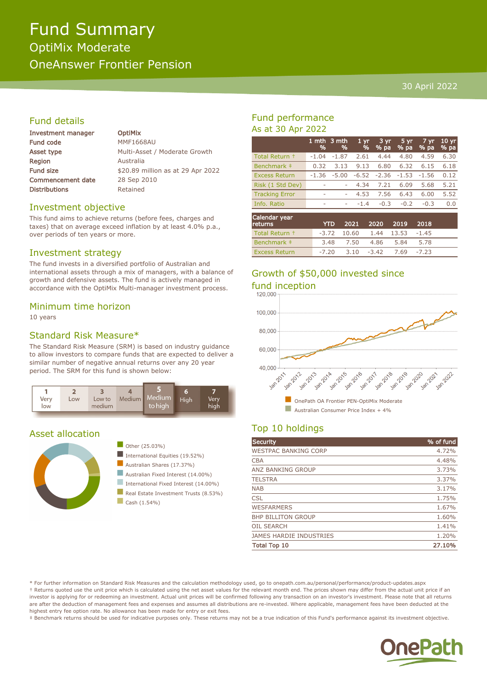# Fund Summary OptiMix Moderate OneAnswer Frontier Pension

#### 30 April 2022

## Fund details

| <b>Investment manager</b> | <b>OptiMix</b>                    |
|---------------------------|-----------------------------------|
| <b>Fund code</b>          | <b>MMF1668AU</b>                  |
| Asset type                | Multi-Asset / Moderate Growth     |
| <b>Region</b>             | Australia                         |
| <b>Fund size</b>          | \$20.89 million as at 29 Apr 2022 |
| <b>Commencement date</b>  | 28 Sep 2010                       |
| <b>Distributions</b>      | Retained                          |
|                           |                                   |

#### Investment objective

This fund aims to achieve returns (before fees, charges and taxes) that on average exceed inflation by at least 4.0% p.a., over periods of ten years or more.

#### Investment strategy

The fund invests in a diversified portfolio of Australian and international assets through a mix of managers, with a balance of growth and defensive assets. The fund is actively managed in accordance with the OptiMix Multi-manager investment process.

#### Minimum time horizon

10 years

#### Standard Risk Measure\*

The Standard Risk Measure (SRM) is based on industry guidance to allow investors to compare funds that are expected to deliver a similar number of negative annual returns over any 20 year period. The SRM for this fund is shown below:



#### Asset allocation





- International Equities (19.52%)
- Australian Shares (17.37%)
- Australian Fixed Interest (14.00%)
- International Fixed Interest (14.00%)
- Real Estate Investment Trusts (8.53%)
- $\Box$  Cash (1.54%)

### Fund performance As at 30 Apr 2022

|                                 | 1 mth<br>% | 3 mth<br>% | 1 <sub>yr</sub><br>% | 3 yr.<br>% pa | 5 yr<br>% pa | 7 yr<br>% pa | 10 <sub>yr</sub><br>% pa |
|---------------------------------|------------|------------|----------------------|---------------|--------------|--------------|--------------------------|
| Total Return +                  | $-1.04$    | $-1.87$    | 2.61                 | 4.44          | 4.80         | 4.59         | 6.30                     |
| Benchmark ‡                     | 0.32       | 3.13       | 9.13                 | 6.80          | 6.32         | 6.15         | 6.18                     |
| <b>Excess Return</b>            | $-1.36$    | $-5.00$    | $-6.52$              | $-2.36$       | $-1.53$      | $-1.56$      | 0.12                     |
| Risk (1 Std Dev)                |            | ۰          | 4.34                 | 7.21          | 6.09         | 5.68         | 5.21                     |
| <b>Tracking Error</b>           | ۰          | ۰          | 4.53                 | 7.56          | 6.43         | 6.00         | 5.52                     |
| Info. Ratio                     | ۰          | ۰          | $-1.4$               | $-0.3$        | $-0.2$       | $-0.3$       | 0.0                      |
| Calendar year<br><b>returns</b> |            | YTD        | 2021                 | 2020          | 2019         | 2018         |                          |

| returns l      |      |  | YTD 2021 2020 2019 2018               |      |  |
|----------------|------|--|---------------------------------------|------|--|
| Total Return + |      |  | $-3.72$ 10.60 1.44 13.53 $-1.45$      |      |  |
| Benchmark ‡    | 3.48 |  | 7.50 4.86 5.84                        | 5.78 |  |
| Excess Return  |      |  | $-7.20$ $3.10$ $-3.42$ $7.69$ $-7.23$ |      |  |

# Growth of \$50,000 invested since



n OnePath OA Frontier PEN-OptiMix Moderate Australian Consumer Price Index  $+4\%$ 

## Top 10 holdings

| Security                       | % of fund |
|--------------------------------|-----------|
| <b>WESTPAC BANKING CORP</b>    | 4.72%     |
| <b>CBA</b>                     | 4.48%     |
| <b>ANZ BANKING GROUP</b>       | 3.73%     |
| <b>TELSTRA</b>                 | 3.37%     |
| <b>NAB</b>                     | 3.17%     |
| <b>CSL</b>                     | 1.75%     |
| <b>WESFARMERS</b>              | 1.67%     |
| <b>BHP BILLITON GROUP</b>      | 1.60%     |
| <b>OIL SEARCH</b>              | 1.41%     |
| <b>JAMES HARDIE INDUSTRIES</b> | 1.20%     |
| <b>Total Top 10</b>            | 27.10%    |

\* For further information on Standard Risk Measures and the calculation methodology used, go to onepath.com.au/personal/performance/product-updates.aspx † Returns quoted use the unit price which is calculated using the net asset values for the relevant month end. The prices shown may differ from the actual unit price if an investor is applying for or redeeming an investment. Actual unit prices will be confirmed following any transaction on an investor's investment. Please note that all returns are after the deduction of management fees and expenses and assumes all distributions are re-invested. Where applicable, management fees have been deducted at the highest entry fee option rate. No allowance has been made for entry or exit fees.

‡ Benchmark returns should be used for indicative purposes only. These returns may not be a true indication of this Fund's performance against its investment objective.